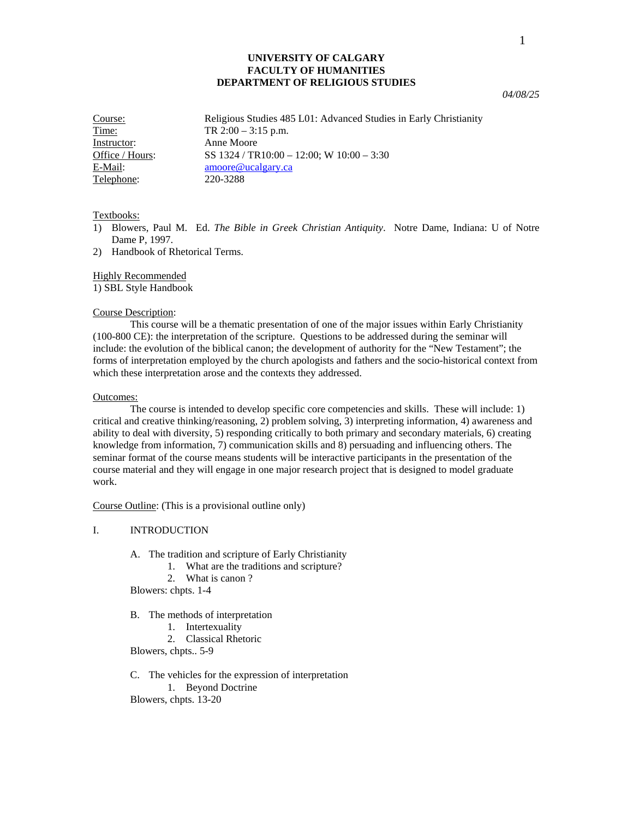## **UNIVERSITY OF CALGARY FACULTY OF HUMANITIES DEPARTMENT OF RELIGIOUS STUDIES**

*04/08/25* 

| Course:         | Religious Studies 485 L01: Advanced Studies in Early Christianity |
|-----------------|-------------------------------------------------------------------|
| Time:           | TR $2:00 - 3:15$ p.m.                                             |
| Instructor:     | Anne Moore                                                        |
| Office / Hours: | SS $1324 / TR10:00 - 12:00$ ; W $10:00 - 3:30$                    |
| E-Mail:         | amoore@ucalgary.ca                                                |
| Telephone:      | 220-3288                                                          |

### Textbooks:

- 1) Blowers, Paul M. Ed. *The Bible in Greek Christian Antiquity*. Notre Dame, Indiana: U of Notre Dame P, 1997.
- 2) Handbook of Rhetorical Terms.

## Highly Recommended

1) SBL Style Handbook

#### Course Description:

 This course will be a thematic presentation of one of the major issues within Early Christianity (100-800 CE): the interpretation of the scripture. Questions to be addressed during the seminar will include: the evolution of the biblical canon; the development of authority for the "New Testament"; the forms of interpretation employed by the church apologists and fathers and the socio-historical context from which these interpretation arose and the contexts they addressed.

### Outcomes:

 The course is intended to develop specific core competencies and skills. These will include: 1) critical and creative thinking/reasoning, 2) problem solving, 3) interpreting information, 4) awareness and ability to deal with diversity, 5) responding critically to both primary and secondary materials, 6) creating knowledge from information, 7) communication skills and 8) persuading and influencing others. The seminar format of the course means students will be interactive participants in the presentation of the course material and they will engage in one major research project that is designed to model graduate work.

Course Outline: (This is a provisional outline only)

### I. INTRODUCTION

- A. The tradition and scripture of Early Christianity
	- 1. What are the traditions and scripture?
	- 2. What is canon ?

Blowers: chpts. 1-4

# B. The methods of interpretation

- 1. Intertexuality
- 2. Classical Rhetoric

Blowers, chpts.. 5-9

C. The vehicles for the expression of interpretation

1. Beyond Doctrine

Blowers, chpts. 13-20